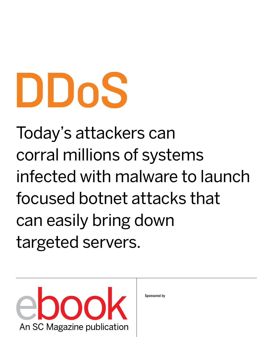# DDoS

Today's attackers can corral millions of systems infected with malware to launch focused botnet attacks that can easily bring down targeted servers.



Sponsored by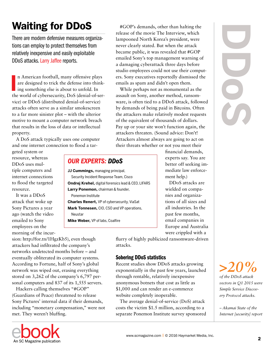## Waiting for DDoS

There are modern defensive measures organizations can employ to protect themselves from relatively inexpensive and easily exploitable DDoS attacks. Larry Jaffee reports.

n American football, many offensive plays<br>are designed to trick the defense into think-<br>ing something else is about to unfold. In<br>the world of cybersecurity, DoS (denial-of-sern American football, many offensive plays are designed to trick the defense into thinking something else is about to unfold. In vice) or DDoS (distributed denial-of-service) attacks often serve as a similar smokescreen to a far more sinister plot – with the ulterior motive to mount a computer network breach that results in the loss of data or intellectual property.

A DoS attack typically uses one computer and one internet connection to flood a tar-

geted system or resource, whereas DDoS uses multiple computers and internet connections to flood the targeted resource.

It was a DDoS attack that woke up Sony Pictures a year ago (watch the video emailed to Sony employees on the morning of the incur-

release of the movie The Interview, which lampooned North Korea's president, were never clearly stated. But when the attack became public, it was revealed that #GOP emailed Sony's top management warning of a damaging cyberattack three days before studio employees could not use their computers. Sony executives reportedly dismissed the emails as spam and didn't open them.

#GOP's demands, other than halting the

While perhaps not as monumental as the assault on Sony, another method, ransomware, is often tied to a DDoS attack, followed by demands of being paid in Bitcoins. Often the attackers make relatively modest requests of the equivalent of thousands of dollars. Pay up or your site won't function again, the attackers threaten. (Sound advice: Don't! Attackers almost always are going to act on their threats whether or not you meet their

#### financial demands, experts say. You are better off seeking immediate law enforcement help.)

DDoS attacks are wielded on companies and organizations of all sizes and all industries. In the past few months, email companies in Europe and Australia were crippled with a

flurry of highly publicized ransomware-driven attacks.

#### Sobering DDoS statistics

Recent studies show DDoS attacks growing exponentially in the past few years, launched through rentable, relatively inexpensive anonymous botnets that cost as little as \$1,000 and can render an e-commerce website completely inoperable.

The average denial-of-service (DoS) attack costs the victim \$1.5 million, according to a separate Ponemon Institute survey sponsored

## *OUR EXPERTS: DDoS*

**JJ Cummings,** managing principal, Security Incident Response Team, Cisco **Ondrej Krehel,** digital forensics lead & CEO, LIFARS **Larry Ponemon,** chairman & founder, Ponemon Institute **Charles Renert,** VP of cybersecurity, ViaSat **Mark Tonnesen,** CIO, CSO and VP operations,

Neustar

**Mike Weber,** VP of labs, Coalfire

sion: [http://for.tn/1HgzKb5\)](http://for.tn/1HgzKb5), even though attackers had infiltrated the company's networks undetected months before – and eventually obliterated its computer systems. According to Fortune, half of Sony's global network was wiped out, erasing everything stored on 3,262 of the company's 6,797 personal computers and 837 of its 1,555 servers.

Hackers calling themselves "#GOP" (Guardians of Peace) threatened to release Sony Pictures' internal data if their demands, including "monetary compensation," were not met. They weren't bluffing.



*>20%*

*of the DDoS attack vectors in Q1 2015 were Simple Service Discovery Protocol attacks.*

*– Akamai State of the Internet [security] report*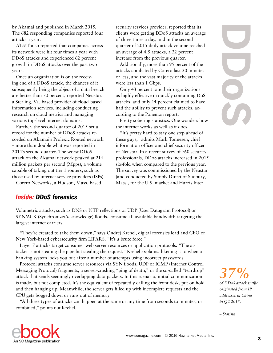by Akamai and published in March 2015. The 682 responding companies reported four attacks a year.

AT&T also reported that companies across its network were hit four times a year with DDoS attacks and experienced 62 percent growth in DDoS attacks over the past two years.

Once an organization is on the receiving end of a DDoS attack, the chances of it subsequently being the object of a data breach are better than 70 percent, reported Neustar, a Sterling, Va.-based provider of cloud-based information services, including conducting research on cloud metrics and managing various top-level internet domains.

Further, the second quarter of 2015 set a record for the number of DDoS attacks recorded on Akamai's Prolexic Routed network – more than double what was reported in 2014's second quarter. The worst DDoS attack on the Akamai network peaked at 214 million packets per second (Mpps), a volume capable of taking out tier 1 routers, such as those used by internet service providers (ISPs).

Corero Networks, a Hudson, Mass.-based

## *Inside: DDoS forensics*

Volumetric attacks, such as DNS or NTP reflections or UDP (User Datagram Protocol) or SYN/ACK (Synchronize/Acknowledge) floods, consume all available bandwidth targeting the largest internet carriers.

"They're created to take them down," says Ondrej Krehel, digital forensics lead and CEO of New York-based cybersecurity firm LIFARS. "It's a brute force."

Layer 7 attacks target consumer web server resources or application protocols. "The attacker is not stealing the pipe but stealing the request," Krehel explains, likening it to when a banking system locks you out after a number of attempts using incorrect passwords.

Protocol attacks consume server resources via SYN floods, UDP or ICMP (Internet Control Messaging Protocol) fragments, a server-crashing "ping of death," or the so-called "teardrop" attack that sends seemingly overlapping data packets. In this scenario, initial communication is made, but not completed. It's the equivalent of repeatedly calling the front desk, put on hold and then hanging up. Meanwhile, the server gets filled up with incomplete requests and the CPU gets bogged down or runs out of memory.

"All three types of attacks can happen at the same or any time from seconds to minutes, or combined," points out Krehel.

security services provider, reported that its clients were getting DDoS attacks an average of three times a day, and in the second quarter of 2015 daily attack volume reached an average of 4.5 attacks, a 32 percent increase from the previous quarter.

Additionally, more than 95 percent of the attacks combated by Corero last 30 minutes or less, and the vast majority of the attacks were less than 1 Gbps.

Only 43 percent rate their organizations as highly effective in quickly containing DoS attacks, and only 14 percent claimed to have had the ability to prevent such attacks, according to the Ponemon report.

Pretty sobering statistics. One wonders how the internet works as well as it does.

"It's pretty hard to stay one step ahead of these guys," admits Mark Tonnesen, chief information officer and chief security officer of Neustar. In a recent survey of 760 security professionals, DDoS attacks increased in 2015 six-fold when compared to the previous year. The survey was commissioned by the Neustar (and conducted by Simply Direct of Sudbury, Mass., for the U.S. market and Harris Inter**1997**<br> **1997**<br> *S*<br> *S*<br> *S*<br> *Dof DDoS attack trighted from II*<br> *in Q2 2015.*<br> *– Statista* 

*37% of DDoS attack traffic originated from IP addresses in China in Q2 2015.*

- Statista

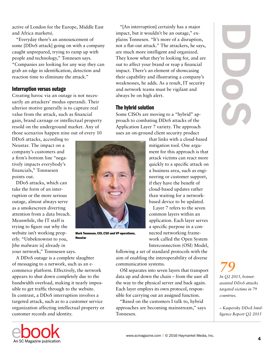active of London for the Europe, Middle East and Africa markets).

"Everyday there's an announcement of some [DDoS attack] going on with a company caught unprepared, trying to ramp up with people and technology," Tonnesen says. "Companies are looking for any way they can grab an edge in identification, detection and reaction time to eliminate the attack."

#### Interruption versus outage

Creating havoc via an outage is not necessarily an attackers' modus operandi. Their ulterior motive generally is to capture real value from the attack, such as financial gain, brand carnage or intellectual property resold on the underground market. Any of those scenarios happen nine out of every 10

DDoS attacks, according to Neustar. The impact on a company's customers and a firm's bottom line "negatively impacts everybody's financials," Tonnsesen points out.

DDoS attacks, which can take the form of an interruption or the more serious outage, almost always serve as a smokescreen diverting attention from a data breach. Meanwhile, the IT staff is trying to figure out why the website isn't working properly. "Unbeknownst to you, [the malware is] already in your network," Tonnsesen says.

A DDoS outage is a complete slaughter of messaging to a network, such as an ecommerce platform. Effectively, the network appears to shut down completely due to the bandwidth overload, making it nearly impossible to get traffic through to the website. In contrast, a DDoS interruption involves a targeted attack, such as to a customer service organization affecting intellectual property or customer records and identity.



Mark Tonnesen, CIO, CSO and VP operations, Neustar

"[An interruption] certainly has a major impact, but it wouldn't be an outage," explains Tonnesen. "It's more of a disruption, not a flat-out attack." The attackers, he says, are much more intelligent and organized. They know what they're looking for, and are out to affect your brand or reap a financial impact. There's an element of showcasing their capability and illustrating a company's weaknesses, he adds. As a result, IT security and network teams must be vigilant and always be on high alert.

#### The hybrid solution

Some CISOs are moving to a "hybrid" approach to combating DDoS attacks of the Application Layer 7 variety. The approach uses an on-ground client security product

> that links with a cloud-based mitigation tool. One argument for this approach is that attack victims can react more quickly to a specific attack on a business area, such as engineering or customer support, if they have the benefit of cloud-based updates rather than waiting for a networkbased device to be updated.

> Layer 7 refers to the seven common layers within an application. Each layer serves a specific purpose in a connected networking framework called the Open System Interconnection (OSI) Model,

following a set of standard protocols with the aim of enabling the interoperability of diverse communication systems.

OSI separates into seven layers that transport data up and down the chain – from the user all the way to the physical server and back again. Each layer employs its own protocol, responsible for carrying out an assigned function.

"Based on the customers I talk to, hybrid approaches are becoming mainstream," says Tonnesen.

**DDoS**

*79 In Q2 2015, botnetassisted DDoS attacks targeted victims in 79 countries.*

*– Kaspersky DDoS Intelligence Report Q2 2015*

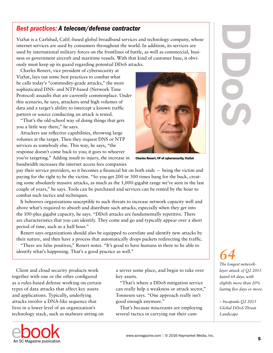## *Best practices: A telecom/defense contractor*

ViaSat is a Carlsbad, Calif.-based global broadband services and technology company, whose internet services are used by consumers throughout the world. In addition, its services are used by international military forces on the frontlines of battle, as well as commercial, business or government aircraft and maritime vessels. With that kind of customer base, it obviously must keep up its guard regarding potential DDoS attacks.

Charles Renert, vice president of cybersecurity at ViaSat, lays out some best practices to combat what he calls today's "commodity-grade attacks," the more sophisticated DNS- and NTP-based (Network Time Protocol) assaults that are currently commonplace. Under this scenario, he says, attackers send high volumes of data and a target's ability to intercept a known traffic pattern or source conducting an attack is tested.

"That's the old-school way of doing things that gets you a little way there," he says.

Attackers use reflective capabilities, throwing large volumes at the target. Then they request DNS or NTP services as somebody else. This way, he says, "the response doesn't come back to you; it goes to whoever you're targeting." Adding insult to injury, the increase in bandwidth increases the internet access fees companies



Charles Renert, VP of cybersecurity, ViaSat

pay their service providers, so it becomes a financial hit on both ends – being the victim and paying for the right to be the victim. "So you get 200 or 300 times bang for the buck, creating some absolutely massive attacks, as much as the 1,000-gigabit range we've seen in the last couple of years," he says. Tools can be purchased and services can be rented by the hour to combat such tactics and techniques.

It behooves organizations susceptible to such threats to increase network capacity well and above what's required to absorb and distribute such attacks, especially when they get into the 100-plus gigabit capacity, he says. "DDoS attacks are fundamentally repetitive. There are characteristics that you can identify. They come and go and typically appear over a short period of time, such as a half hour."

Renert says organizations should also be equipped to correlate and identify new attacks by their nature, and then have a process that automatically drops packets redirecting the traffic.

"There are false positives," Renert notes. "It's good to have humans in there to be able to identify what's happening. That's a good practice as well."

Client and cloud security products work together with one or the other configured as a rules-based defense working on certain types of data attacks that affect key assets and applications. Typically, underlying attacks involve a DNA-like sequence that lives in a lower level of an organization's technology stack, such as malware sitting on

An SC Magazine publication

a server some place, and begin to take over key assets.

"That's where a DDoS mitigation service can really help a weakness or attack sector," Tonnesen says. "One approach really isn't good enough anymore."

That's because miscreants are employing several tactics in carrying out their cam-



# *64*

*The longest networklayer attack of Q2 2015 lasted 64 days, with slightly more than 20% lasting five days or more.*

*– Incapsula Q2 2015 Global DDoS Threat Landscape*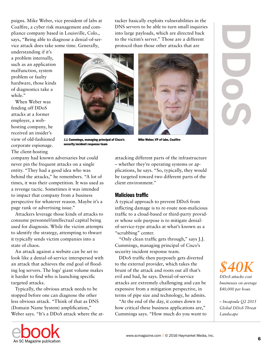paigns. Mike Weber, vice president of labs at Coalfire, a cyber risk management and compliance company based in Louisville, Colo., says, "Being able to diagnose a denial-of-service attack does take some time. Generally,

understanding if it's a problem internally, such as an application malfunction, system problem or faulty hardware, those kinds of diagnostics take a while."

When Weber was fending off DDoS attacks at a former employer, a webhosting company, he received an insider's view of old-fashioned corporate espionage. The client-hosting



J.J. Cummings, managing principal of Cisco's security incident response team

tacker basically exploits vulnerabilities in the DNS servers to be able to turn small inquiries into large payloads, which are directed back to the victim's server." Those are a different protocol than those other attacks that are



Mike Weber, VP of labs, Coalfire

company had known adversaries but could never pin the frequent attacks on a single entity. "They had a good idea who was behind the attacks," he remembers. "A lot of times, it was their competition. It was used as a revenge tactic. Sometimes it was intended to impact that company from a business perspective for whatever reason. Maybe it's a page rank or advertising issue."

Attackers leverage those kinds of attacks to consume personnel/intellectual capital being used for diagnosis. While the victim attempts to identify the strategy, attempting to thwart it typically sends victim companies into a state of chaos.

An attack against a website can be set to look like a denial-of-service interspersed with an attack that achieves the end goal of flooding log servers. The logs' giant volume makes it harder to find who is launching specific targeted attacks.

Typically, the obvious attack needs to be stopped before one can diagnose the other less obvious attack. "Think of that as DNS (Domain Name System) amplification," Weber says. "It's a DDoS attack where the atattacking different parts of the infrastructure – whether they're operating systems or applications, he says. "So, typically, they would be targeted toward two different parts of the client environment."

#### Malicious traffic

A typical approach to prevent DDoS from inflicting damage is to re-route non-malicious traffic to a cloud-based or third-party provider whose sole purpose is to mitigate denialof-service-type attacks at what's known as a "scrubbing" center.

"Only clean traffic gets through," says J.J. Cummings, managing principal of Cisco's security incident response team.

DDoS traffic then purposely gets diverted to the external provider, which takes the brunt of the attack and roots out all that's evil and bad, he says. Denial-of-service attacks are extremely challenging and can be expensive from a mitigation perspective, in terms of pipe size and technology, he admits.

"At the end of the day, it comes down to how critical these business applications are," Cummings says. "How much do you want to



*– Incapsula Q2 2015 Global DDoS Threat*  Landscape

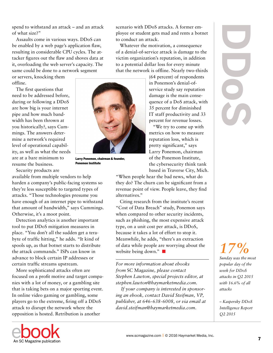spend to withstand an attack – and an attack of what size?"

Assaults come in various ways. DDoS can be enabled by a web page's application flaw, resulting in considerable CPU cycles. The attacker figures out the flaw and shoves data at it, overloading the web server's capacity. The same could be done to a network segment

or servers, knocking them offline.

The first questions that need to be addressed before, during or following a DDoS are how big is your internet pipe and how much bandwidth has been thrown at you historically?, says Cummings. The answers determine a network's required level of operational capability, as well as what the needs are at a bare minimum to resume the business.



Larry Ponemon, chairman & founder, Ponemon Institute

Security products are available from multiple vendors to help harden a company's public-facing systems so they're less susceptible to targeted types of attacks. "Those technologies presume you have enough of an internet pipe to withstand that amount of bandwidth," says Cummings. Otherwise, it's a moot point.

Detection analytics is another important tool to put DDoS mitigation measures in place. "You don't all the sudden get a terabyte of traffic hitting," he adds. "It kind of spools up, as that botnet starts to distribute the attack commands." ISPs can know in advance to block certain IP addresses or certain traffic streams upstream.

More sophisticated attacks often are focused on a profit motive and target companies with a lot of money, or a gambling site that is taking bets on a major sporting event. In online video gaming or gambling, some players go to the extreme, firing off a DDoS attack to disrupt the network where the opposition is hosted. Retribution is another

scenario with DDoS attacks. A former employee or student gets mad and rents a botnet to conduct an attack.

Whatever the motivation, a consequence of a denial-of-service attack is damage to the victim organization's reputation, in addition to a potential dollar loss for every minute that the network is offline. Nearly two-thirds

> (64 percent) of respondents in Ponemon's denial-ofservice study say reputation damage is the main consequence of a DoS attack, with 35 percent for diminished IT staff productivity and 33 percent for revenue losses.

"We try to come up with metrics on how to measure reputation loss, which is pretty significant," says Larry Ponemon, chairman of the Ponemon Institute, the cybersecurity think tank based in Traverse City, Mich.

"When people hear the bad news, what do they do? The churn can be significant from a revenue point of view. People leave, they find alternatives."

Citing research from the institute's recent "Cost of Data Breach" study, Ponemon says when compared to other security incidents, such as phishing, the most expensive attack type, on a unit cost per attack, is DDoS, because it takes a lot of effort to stop it. Meanwhile, he adds, "there's an extraction of data while people are worrying about the website being down."

*For more information about ebooks from* SC Magazine*, please contact Stephen Lawton, special projects editor, at stephen.lawton@haymarketmedia.com.*

 *If your company is interested in sponsoring an ebook, contact David Steifman, VP, publisher, at 646-638-6008, or via email at david.steifman@haymarketmedia.com.*



# *17%*

*Sunday was the most popular day of the week for DDoS attacks in Q2 2015 with 16.6% of all attacks*

*– Kaspersky DDoS Intelligence Report*  O<sub>2</sub> 2015